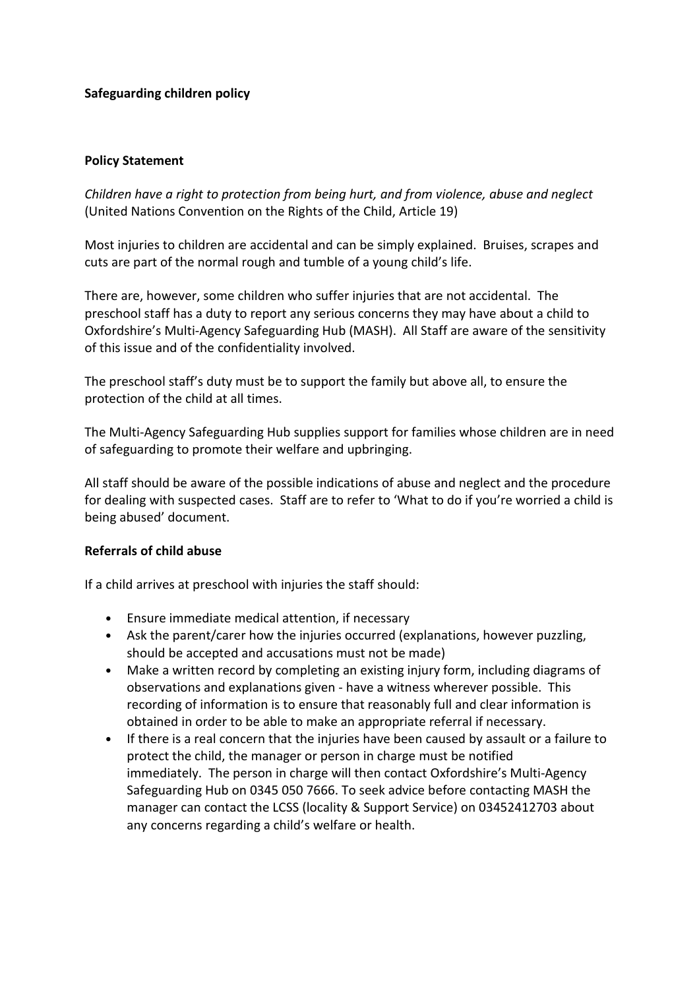## **Safeguarding children policy**

### **Policy Statement**

*Children have a right to protection from being hurt, and from violence, abuse and neglect*  (United Nations Convention on the Rights of the Child, Article 19)

Most injuries to children are accidental and can be simply explained. Bruises, scrapes and cuts are part of the normal rough and tumble of a young child's life.

There are, however, some children who suffer injuries that are not accidental. The preschool staff has a duty to report any serious concerns they may have about a child to Oxfordshire's Multi-Agency Safeguarding Hub (MASH). All Staff are aware of the sensitivity of this issue and of the confidentiality involved.

The preschool staff's duty must be to support the family but above all, to ensure the protection of the child at all times.

The Multi-Agency Safeguarding Hub supplies support for families whose children are in need of safeguarding to promote their welfare and upbringing.

All staff should be aware of the possible indications of abuse and neglect and the procedure for dealing with suspected cases. Staff are to refer to 'What to do if you're worried a child is being abused' document.

#### **Referrals of child abuse**

If a child arrives at preschool with injuries the staff should:

- Ensure immediate medical attention, if necessary
- Ask the parent/carer how the injuries occurred (explanations, however puzzling, should be accepted and accusations must not be made)
- Make a written record by completing an existing injury form, including diagrams of observations and explanations given - have a witness wherever possible. This recording of information is to ensure that reasonably full and clear information is obtained in order to be able to make an appropriate referral if necessary.
- If there is a real concern that the injuries have been caused by assault or a failure to protect the child, the manager or person in charge must be notified immediately. The person in charge will then contact Oxfordshire's Multi-Agency Safeguarding Hub on 0345 050 7666. To seek advice before contacting MASH the manager can contact the LCSS (locality & Support Service) on 03452412703 about any concerns regarding a child's welfare or health.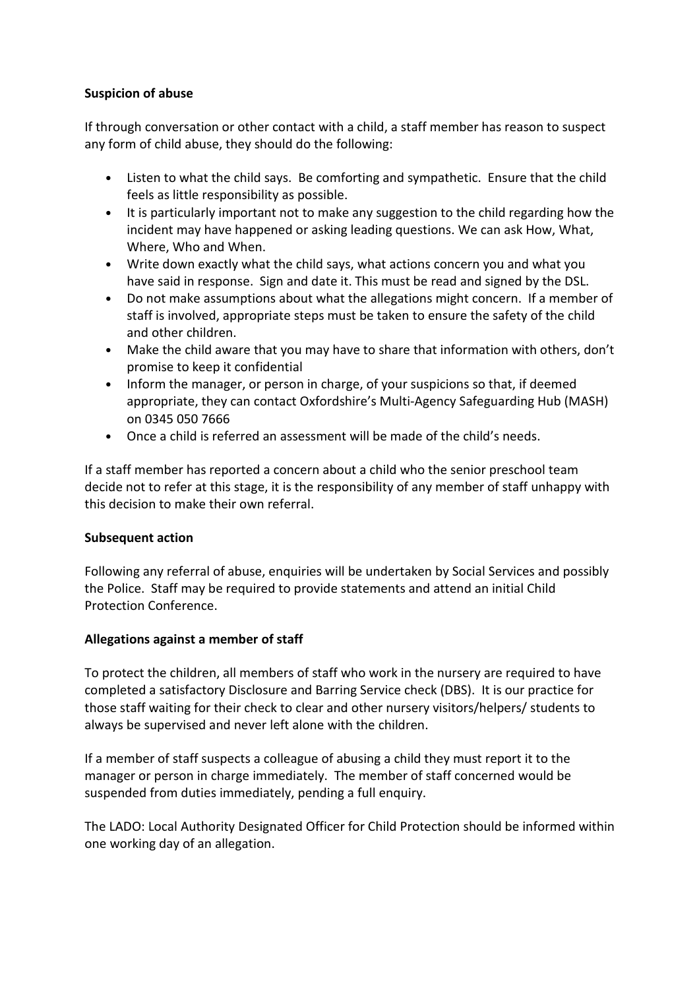# **Suspicion of abuse**

If through conversation or other contact with a child, a staff member has reason to suspect any form of child abuse, they should do the following:

- Listen to what the child says. Be comforting and sympathetic. Ensure that the child feels as little responsibility as possible.
- It is particularly important not to make any suggestion to the child regarding how the incident may have happened or asking leading questions. We can ask How, What, Where, Who and When.
- Write down exactly what the child says, what actions concern you and what you have said in response. Sign and date it. This must be read and signed by the DSL.
- Do not make assumptions about what the allegations might concern. If a member of staff is involved, appropriate steps must be taken to ensure the safety of the child and other children.
- Make the child aware that you may have to share that information with others, don't promise to keep it confidential
- Inform the manager, or person in charge, of your suspicions so that, if deemed appropriate, they can contact Oxfordshire's Multi-Agency Safeguarding Hub (MASH) on 0345 050 7666
- Once a child is referred an assessment will be made of the child's needs.

If a staff member has reported a concern about a child who the senior preschool team decide not to refer at this stage, it is the responsibility of any member of staff unhappy with this decision to make their own referral.

# **Subsequent action**

Following any referral of abuse, enquiries will be undertaken by Social Services and possibly the Police. Staff may be required to provide statements and attend an initial Child Protection Conference.

# **Allegations against a member of staff**

To protect the children, all members of staff who work in the nursery are required to have completed a satisfactory Disclosure and Barring Service check (DBS). It is our practice for those staff waiting for their check to clear and other nursery visitors/helpers/ students to always be supervised and never left alone with the children.

If a member of staff suspects a colleague of abusing a child they must report it to the manager or person in charge immediately. The member of staff concerned would be suspended from duties immediately, pending a full enquiry.

The LADO: Local Authority Designated Officer for Child Protection should be informed within one working day of an allegation.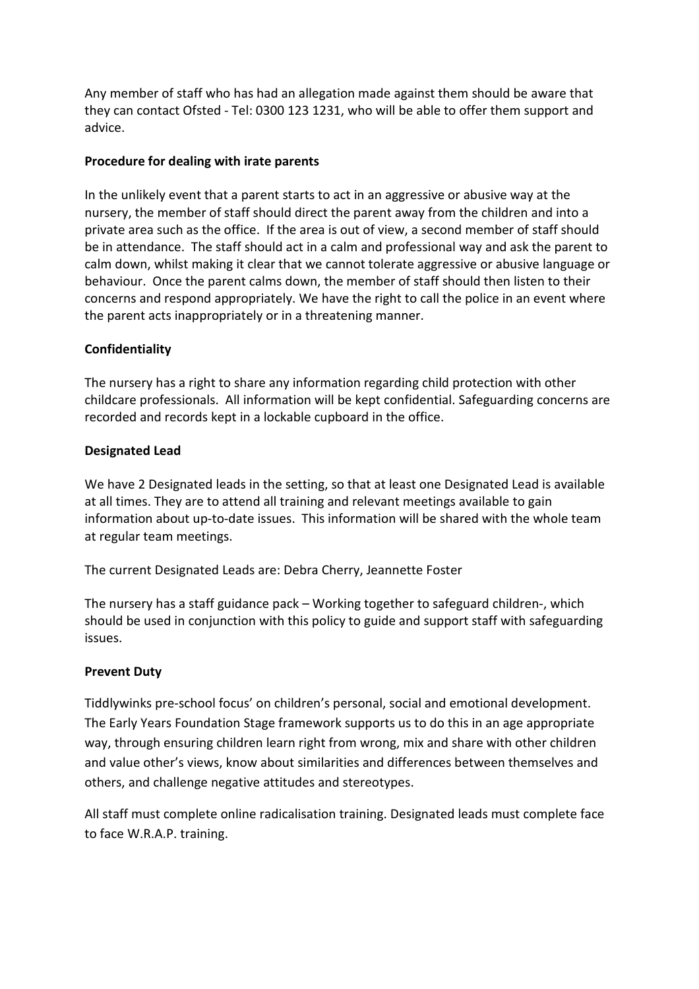Any member of staff who has had an allegation made against them should be aware that they can contact Ofsted - Tel: 0300 123 1231, who will be able to offer them support and advice.

# **Procedure for dealing with irate parents**

In the unlikely event that a parent starts to act in an aggressive or abusive way at the nursery, the member of staff should direct the parent away from the children and into a private area such as the office. If the area is out of view, a second member of staff should be in attendance. The staff should act in a calm and professional way and ask the parent to calm down, whilst making it clear that we cannot tolerate aggressive or abusive language or behaviour. Once the parent calms down, the member of staff should then listen to their concerns and respond appropriately. We have the right to call the police in an event where the parent acts inappropriately or in a threatening manner.

## **Confidentiality**

The nursery has a right to share any information regarding child protection with other childcare professionals. All information will be kept confidential. Safeguarding concerns are recorded and records kept in a lockable cupboard in the office.

## **Designated Lead**

We have 2 Designated leads in the setting, so that at least one Designated Lead is available at all times. They are to attend all training and relevant meetings available to gain information about up-to-date issues. This information will be shared with the whole team at regular team meetings.

The current Designated Leads are: Debra Cherry, Jeannette Foster

The nursery has a staff guidance pack – Working together to safeguard children-, which should be used in conjunction with this policy to guide and support staff with safeguarding issues.

#### **Prevent Duty**

Tiddlywinks pre-school focus' on children's personal, social and emotional development. The Early Years Foundation Stage framework supports us to do this in an age appropriate way, through ensuring children learn right from wrong, mix and share with other children and value other's views, know about similarities and differences between themselves and others, and challenge negative attitudes and stereotypes.

All staff must complete online radicalisation training. Designated leads must complete face to face W.R.A.P. training.